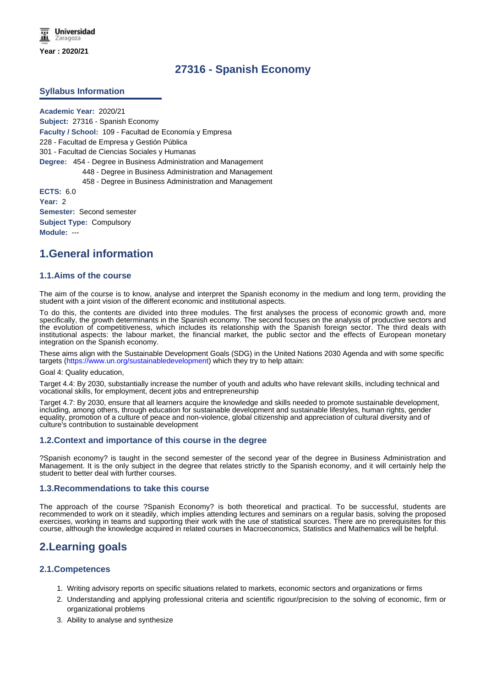# **27316 - Spanish Economy**

### **Syllabus Information**

**Academic Year:** 2020/21 **Subject:** 27316 - Spanish Economy **Faculty / School:** 109 - Facultad de Economía y Empresa 228 - Facultad de Empresa y Gestión Pública 301 - Facultad de Ciencias Sociales y Humanas **Degree:** 454 - Degree in Business Administration and Management 448 - Degree in Business Administration and Management 458 - Degree in Business Administration and Management **ECTS:** 6.0

**Year:** 2 **Semester:** Second semester **Subject Type:** Compulsory **Module:** ---

# **1.General information**

#### **1.1.Aims of the course**

The aim of the course is to know, analyse and interpret the Spanish economy in the medium and long term, providing the student with a joint vision of the different economic and institutional aspects.

To do this, the contents are divided into three modules. The first analyses the process of economic growth and, more specifically, the growth determinants in the Spanish economy. The second focuses on the analysis of productive sectors and the evolution of competitiveness, which includes its relationship with the Spanish foreign sector. The third deals with institutional aspects: the labour market, the financial market, the public sector and the effects of European monetary integration on the Spanish economy.

These aims align with the Sustainable Development Goals (SDG) in the United Nations 2030 Agenda and with some specific targets (https://www.un.org/sustainabledevelopment) which they try to help attain:

Goal 4: Quality education,

Target 4.4: By 2030, substantially increase the number of youth and adults who have relevant skills, including technical and vocational skills, for employment, decent jobs and entrepreneurship

Target 4.7: By 2030, ensure that all learners acquire the knowledge and skills needed to promote sustainable development, including, among others, through education for sustainable development and sustainable lifestyles, human rights, gender equality, promotion of a culture of peace and non-violence, global citizenship and appreciation of cultural diversity and of culture's contribution to sustainable development

### **1.2.Context and importance of this course in the degree**

?Spanish economy? is taught in the second semester of the second year of the degree in Business Administration and Management. It is the only subject in the degree that relates strictly to the Spanish economy, and it will certainly help the student to better deal with further courses.

#### **1.3.Recommendations to take this course**

The approach of the course ?Spanish Economy? is both theoretical and practical. To be successful, students are recommended to work on it steadily, which implies attending lectures and seminars on a regular basis, solving the proposed exercises, working in teams and supporting their work with the use of statistical sources. There are no prerequisites for this course, although the knowledge acquired in related courses in Macroeconomics, Statistics and Mathematics will be helpful.

# **2.Learning goals**

## **2.1.Competences**

- 1. Writing advisory reports on specific situations related to markets, economic sectors and organizations or firms
- 2. Understanding and applying professional criteria and scientific rigour/precision to the solving of economic, firm or organizational problems
- 3. Ability to analyse and synthesize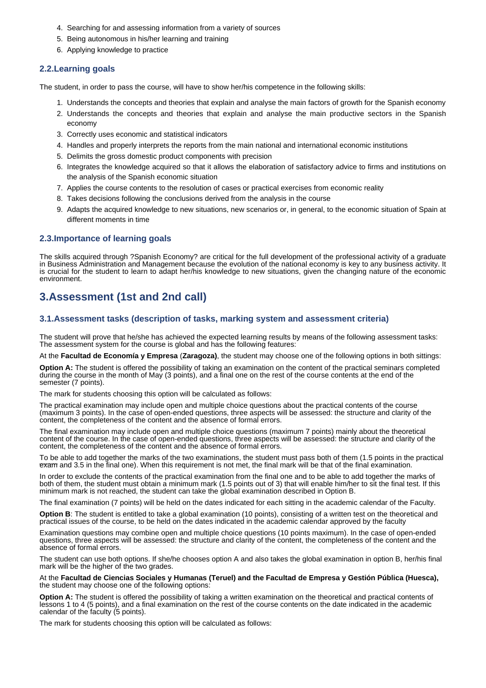- 4. Searching for and assessing information from a variety of sources
- 5. Being autonomous in his/her learning and training
- 6. Applying knowledge to practice

## **2.2.Learning goals**

The student, in order to pass the course, will have to show her/his competence in the following skills:

- 1. Understands the concepts and theories that explain and analyse the main factors of growth for the Spanish economy
- 2. Understands the concepts and theories that explain and analyse the main productive sectors in the Spanish economy
- 3. Correctly uses economic and statistical indicators
- 4. Handles and properly interprets the reports from the main national and international economic institutions
- 5. Delimits the gross domestic product components with precision
- 6. Integrates the knowledge acquired so that it allows the elaboration of satisfactory advice to firms and institutions on the analysis of the Spanish economic situation
- 7. Applies the course contents to the resolution of cases or practical exercises from economic reality
- 8. Takes decisions following the conclusions derived from the analysis in the course
- 9. Adapts the acquired knowledge to new situations, new scenarios or, in general, to the economic situation of Spain at different moments in time

## **2.3.Importance of learning goals**

The skills acquired through ?Spanish Economy? are critical for the full development of the professional activity of a graduate in Business Administration and Management because the evolution of the national economy is key to any business activity. It is crucial for the student to learn to adapt her/his knowledge to new situations, given the changing nature of the economic environment.

# **3.Assessment (1st and 2nd call)**

## **3.1.Assessment tasks (description of tasks, marking system and assessment criteria)**

The student will prove that he/she has achieved the expected learning results by means of the following assessment tasks: The assessment system for the course is global and has the following features:

At the **Facultad de Economía y Empresa** (**Zaragoza)**, the student may choose one of the following options in both sittings:

**Option A:** The student is offered the possibility of taking an examination on the content of the practical seminars completed during the course in the month of May (3 points), and a final one on the rest of the course contents at the end of the semester (7 points).

The mark for students choosing this option will be calculated as follows:

The practical examination may include open and multiple choice questions about the practical contents of the course (maximum 3 points). In the case of open-ended questions, three aspects will be assessed: the structure and clarity of the content, the completeness of the content and the absence of formal errors.

The final examination may include open and multiple choice questions (maximum 7 points) mainly about the theoretical content of the course. In the case of open-ended questions, three aspects will be assessed: the structure and clarity of the content, the completeness of the content and the absence of formal errors.

To be able to add together the marks of the two examinations, the student must pass both of them (1.5 points in the practical exam and 3.5 in the final one). When this requirement is not met, the final mark will be that of the final examination.

In order to exclude the contents of the practical examination from the final one and to be able to add together the marks of both of them, the student must obtain a minimum mark (1.5 points out of 3) that will enable him/her to sit the final test. If this minimum mark is not reached, the student can take the global examination described in Option B.

The final examination (7 points) will be held on the dates indicated for each sitting in the academic calendar of the Faculty.

**Option B**: The student is entitled to take a global examination (10 points), consisting of a written test on the theoretical and practical issues of the course, to be held on the dates indicated in the academic calendar approved by the faculty

Examination questions may combine open and multiple choice questions (10 points maximum). In the case of open-ended questions, three aspects will be assessed: the structure and clarity of the content, the completeness of the content and the absence of formal errors.

The student can use both options. If she/he chooses option A and also takes the global examination in option B, her/his final mark will be the higher of the two grades.

At the **Facultad de Ciencias Sociales y Humanas (Teruel) and the Facultad de Empresa y Gestión Pública (Huesca),** the student may choose one of the following options:

**Option A:** The student is offered the possibility of taking a written examination on the theoretical and practical contents of lessons 1 to 4 (5 points), and a final examination on the rest of the course contents on the date indicated in the academic calendar of the faculty (5 points).

The mark for students choosing this option will be calculated as follows: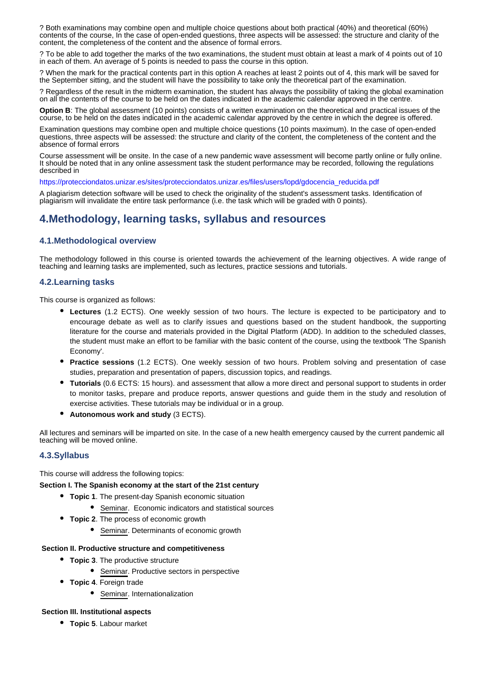? Both examinations may combine open and multiple choice questions about both practical (40%) and theoretical (60%) contents of the course, In the case of open-ended questions, three aspects will be assessed: the structure and clarity of the content, the completeness of the content and the absence of formal errors.

? To be able to add together the marks of the two examinations, the student must obtain at least a mark of 4 points out of 10 in each of them. An average of 5 points is needed to pass the course in this option.

? When the mark for the practical contents part in this option A reaches at least 2 points out of 4, this mark will be saved for the September sitting, and the student will have the possibility to take only the theoretical part of the examination.

? Regardless of the result in the midterm examination, the student has always the possibility of taking the global examination on all the contents of the course to be held on the dates indicated in the academic calendar approved in the centre.

**Option B**: The global assessment (10 points) consists of a written examination on the theoretical and practical issues of the course, to be held on the dates indicated in the academic calendar approved by the centre in which the degree is offered.

Examination questions may combine open and multiple choice questions (10 points maximum). In the case of open-ended questions, three aspects will be assessed: the structure and clarity of the content, the completeness of the content and the absence of formal errors

Course assessment will be onsite. In the case of a new pandemic wave assessment will become partly online or fully online. It should be noted that in any online assessment task the student performance may be recorded, following the regulations described in

https://protecciondatos.unizar.es/sites/protecciondatos.unizar.es/files/users/lopd/gdocencia\_reducida.pdf

A plagiarism detection software will be used to check the originality of the student's assessment tasks. Identification of plagiarism will invalidate the entire task performance (i.e. the task which will be graded with 0 points).

# **4.Methodology, learning tasks, syllabus and resources**

## **4.1.Methodological overview**

The methodology followed in this course is oriented towards the achievement of the learning objectives. A wide range of teaching and learning tasks are implemented, such as lectures, practice sessions and tutorials.

## **4.2.Learning tasks**

This course is organized as follows:

- **Lectures** (1.2 ECTS). One weekly session of two hours. The lecture is expected to be participatory and to encourage debate as well as to clarify issues and questions based on the student handbook, the supporting literature for the course and materials provided in the Digital Platform (ADD). In addition to the scheduled classes, the student must make an effort to be familiar with the basic content of the course, using the textbook 'The Spanish Economy'.
- **Practice sessions** (1.2 ECTS). One weekly session of two hours. Problem solving and presentation of case studies, preparation and presentation of papers, discussion topics, and readings.
- **Tutorials** (0.6 ECTS: 15 hours). and assessment that allow a more direct and personal support to students in order to monitor tasks, prepare and produce reports, answer questions and guide them in the study and resolution of exercise activities. These tutorials may be individual or in a group.
- **Autonomous work and study** (3 ECTS).

All lectures and seminars will be imparted on site. In the case of a new health emergency caused by the current pandemic all teaching will be moved online.

### **4.3.Syllabus**

This course will address the following topics:

**Section I. The Spanish economy at the start of the 21st century**

- **Topic 1**. The present-day Spanish economic situation
	- **•** Seminar. Economic indicators and statistical sources
- **Topic 2**. The process of economic growth
	- Seminar. Determinants of economic growth

#### **Section II. Productive structure and competitiveness**

- **Topic 3**. The productive structure
	- **•** Seminar. Productive sectors in perspective
- **Topic 4**. Foreign trade
	- **•** Seminar. Internationalization

#### **Section III. Institutional aspects**

**Topic 5**. Labour market